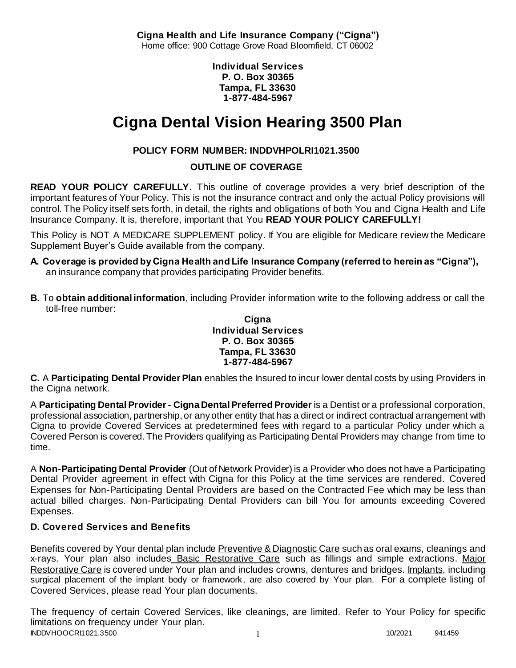**Cigna Health and Life Insurance Company ("Cigna")** Home office: 900 Cottage Grove Road Bloomfield, CT 06002

> **Individual Services P. O. Box 30365 Tampa, FL 33630 1-877-484-5967**

# **Cigna Dental Vision Hearing 3500 Plan**

# **POLICY FORM NUMBER: INDDVHPOLRI1021.3500**

**OUTLINE OF COVERAGE** 

**READ YOUR POLICY CAREFULLY.** This outline of coverage provides a very brief description of the important features of Your Policy. This is not the insurance contract and only the actual Policy provisions will control. The Policy itself sets forth, in detail, the rights and obligations of both You and Cigna Health and Life Insurance Company. It is, therefore, important that You **READ YOUR POLICY CAREFULLY!** 

This Policy is NOT A MEDICARE SUPPLEMENT policy. If You are eligible for Medicare review the Medicare Supplement Buyer's Guide available from the company.

- **A. Coverage is provided by Cigna Health and Life Insurance Company (referred to herein as "Cigna"),**  an insurance company that provides participating Provider benefits.
- **B.** To **obtain additional information**, including Provider information write to the following address or call the toll-free number:

#### **Cigna Individual Services P. O. Box 30365 Tampa, FL 33630 1-877-484-5967**

**C.** A **Participating Dental Provider Plan** enables the Insured to incur lower dental costs by using Providers in the Cigna network.

A **Participating Dental Provider - Cigna Dental Preferred Provider** is a Dentist or a professional corporation, professional association, partnership, or any other entity that has a direct or indirect contractual arrangement with Cigna to provide Covered Services at predetermined fees with regard to a particular Policy under which a Covered Person is covered. The Providers qualifying as Participating Dental Providers may change from time to time.

A **Non-Participating Dental Provider** (Out of Network Provider) is a Provider who does not have a Participating Dental Provider agreement in effect with Cigna for this Policy at the time services are rendered. Covered Expenses for Non-Participating Dental Providers are based on the Contracted Fee which may be less than actual billed charges. Non-Participating Dental Providers can bill You for amounts exceeding Covered Expenses.

# **D. Covered Services and Benefits**

Benefits covered by Your dental plan include Preventive & Diagnostic Care such as oral exams, cleanings and x-rays. Your plan also includes Basic Restorative Care such as fillings and simple extractions. Major Restorative Care is covered under Your plan and includes crowns, dentures and bridges. Implants, including surgical placement of the implant body or framework, are also covered by Your plan. For a complete listing of Covered Services, please read Your plan documents.

INDDVHOOCRI1021.3500 1 10/2021 941459 The frequency of certain Covered Services, like cleanings, are limited. Refer to Your Policy for specific limitations on frequency under Your plan.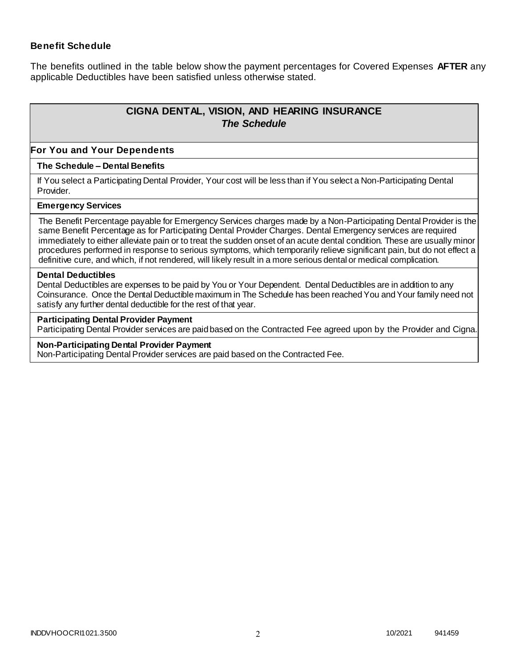#### **Benefit Schedule**

The benefits outlined in the table below show the payment percentages for Covered Expenses **AFTER** any applicable Deductibles have been satisfied unless otherwise stated.

# **CIGNA DENTAL, VISION, AND HEARING INSURANCE** *The Schedule*

#### **For You and Your Dependents**

#### **The Schedule – Dental Benefits**

If You select a Participating Dental Provider, Your cost will be less than if You select a Non-Participating Dental Provider.

#### **Emergency Services**

The Benefit Percentage payable for Emergency Services charges made by a Non-Participating Dental Provider is the same Benefit Percentage as for Participating Dental Provider Charges. Dental Emergency services are required immediately to either alleviate pain or to treat the sudden onset of an acute dental condition. These are usually minor procedures performed in response to serious symptoms, which temporarily relieve significant pain, but do not effect a definitive cure, and which, if not rendered, will likely result in a more serious dental or medical complication.

#### **Dental Deductibles**

Dental Deductibles are expenses to be paid by You or Your Dependent. Dental Deductibles are in addition to any Coinsurance. Once the Dental Deductible maximum in The Schedule has been reached You and Your family need not satisfy any further dental deductible for the rest of that year.

#### **Participating Dental Provider Payment**

Participating Dental Provider services are paid based on the Contracted Fee agreed upon by the Provider and Cigna.

#### **Non-Participating Dental Provider Payment**

Non-Participating Dental Provider services are paid based on the Contracted Fee.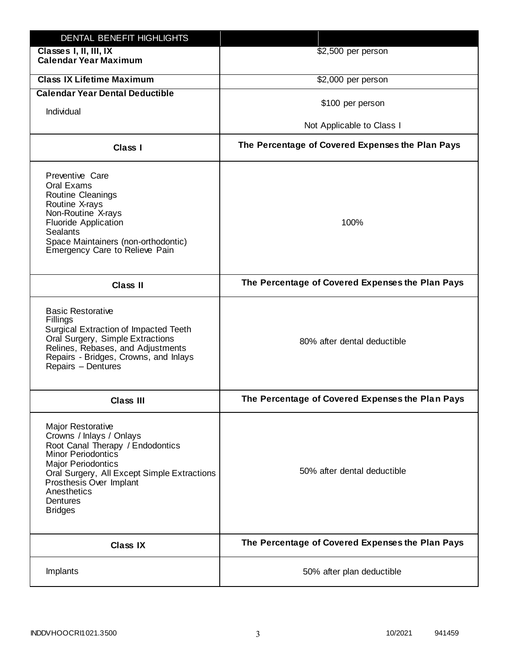| DENTAL BENEFIT HIGHLIGHTS                                                                                                                                                                                                                                                 |                                                  |
|---------------------------------------------------------------------------------------------------------------------------------------------------------------------------------------------------------------------------------------------------------------------------|--------------------------------------------------|
| Classes I, II, III, IX<br><b>Calendar Year Maximum</b>                                                                                                                                                                                                                    | \$2,500 per person                               |
| <b>Class IX Lifetime Maximum</b>                                                                                                                                                                                                                                          | \$2,000 per person                               |
| <b>Calendar Year Dental Deductible</b>                                                                                                                                                                                                                                    |                                                  |
| Individual                                                                                                                                                                                                                                                                | \$100 per person                                 |
|                                                                                                                                                                                                                                                                           | Not Applicable to Class I                        |
| Class I                                                                                                                                                                                                                                                                   | The Percentage of Covered Expenses the Plan Pays |
| Preventive Care<br>Oral Exams<br><b>Routine Cleanings</b><br>Routine X-rays<br>Non-Routine X-rays<br><b>Fluoride Application</b><br><b>Sealants</b><br>Space Maintainers (non-orthodontic)<br>Emergency Care to Relieve Pain                                              | 100%                                             |
| <b>Class II</b>                                                                                                                                                                                                                                                           | The Percentage of Covered Expenses the Plan Pays |
| <b>Basic Restorative</b><br>Fillings<br>Surgical Extraction of Impacted Teeth<br>Oral Surgery, Simple Extractions<br>Relines, Rebases, and Adjustments<br>Repairs - Bridges, Crowns, and Inlays<br>Repairs - Dentures                                                     | 80% after dental deductible                      |
| <b>Class III</b>                                                                                                                                                                                                                                                          | The Percentage of Covered Expenses the Plan Pays |
| <b>Major Restorative</b><br>Crowns / Inlays / Onlays<br>Root Canal Therapy / Endodontics<br><b>Minor Periodontics</b><br><b>Major Periodontics</b><br>Oral Surgery, All Except Simple Extractions<br>Prosthesis Over Implant<br>Anesthetics<br>Dentures<br><b>Bridges</b> | 50% after dental deductible                      |
| <b>Class IX</b>                                                                                                                                                                                                                                                           | The Percentage of Covered Expenses the Plan Pays |
| Implants                                                                                                                                                                                                                                                                  | 50% after plan deductible                        |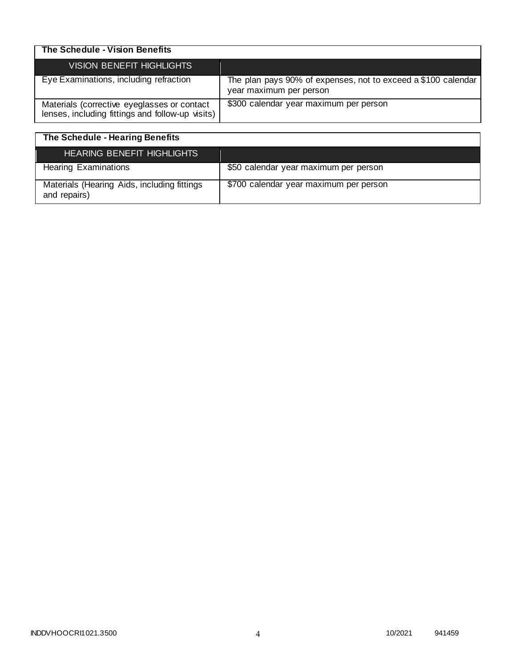| The Schedule - Vision Benefits                                                                  |                                                                                          |
|-------------------------------------------------------------------------------------------------|------------------------------------------------------------------------------------------|
| <b>VISION BENEFIT HIGHLIGHTS</b>                                                                |                                                                                          |
| Eye Examinations, including refraction                                                          | The plan pays 90% of expenses, not to exceed a \$100 calendar<br>year maximum per person |
| Materials (corrective eyeglasses or contact<br>lenses, including fittings and follow-up visits) | \$300 calendar year maximum per person                                                   |

| The Schedule - Hearing Benefits                             |                                        |
|-------------------------------------------------------------|----------------------------------------|
| <b>HEARING BENEFIT HIGHLIGHTS</b>                           |                                        |
| <b>Hearing Examinations</b>                                 | \$50 calendar year maximum per person  |
| Materials (Hearing Aids, including fittings<br>and repairs) | \$700 calendar year maximum per person |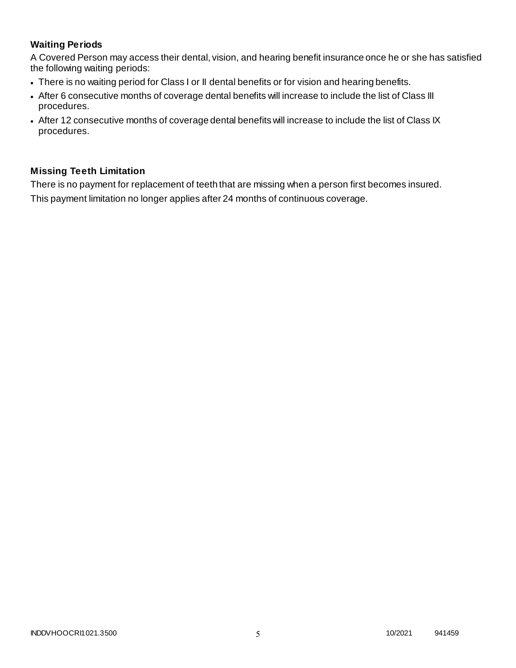# **Waiting Periods**

A Covered Person may access their dental, vision, and hearing benefit insurance once he or she has satisfied the following waiting periods:

- There is no waiting period for Class I or II dental benefits or for vision and hearing benefits.
- After 6 consecutive months of coverage dental benefits will increase to include the list of Class III procedures.
- After 12 consecutive months of coverage dental benefits will increase to include the list of Class IX procedures.

# **Missing Teeth Limitation**

There is no payment for replacement of teeth that are missing when a person first becomes insured. This payment limitation no longer applies after 24 months of continuous coverage.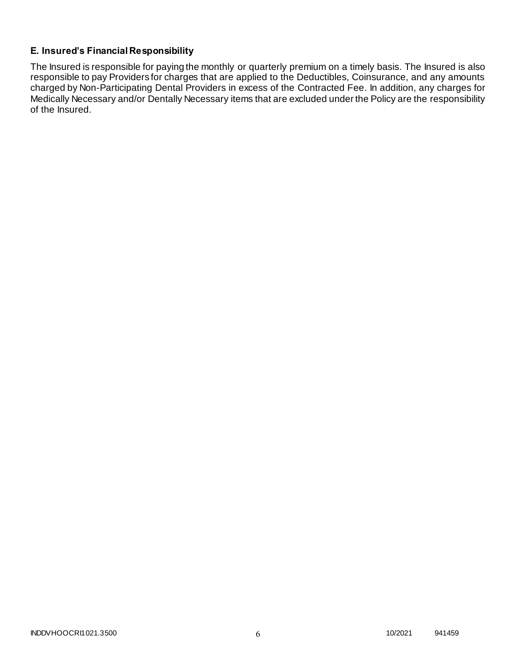## **E. Insured's Financial Responsibility**

The Insured is responsible for paying the monthly or quarterly premium on a timely basis. The Insured is also responsible to pay Providers for charges that are applied to the Deductibles, Coinsurance, and any amounts charged by Non-Participating Dental Providers in excess of the Contracted Fee. In addition, any charges for Medically Necessary and/or Dentally Necessary items that are excluded under the Policy are the responsibility of the Insured.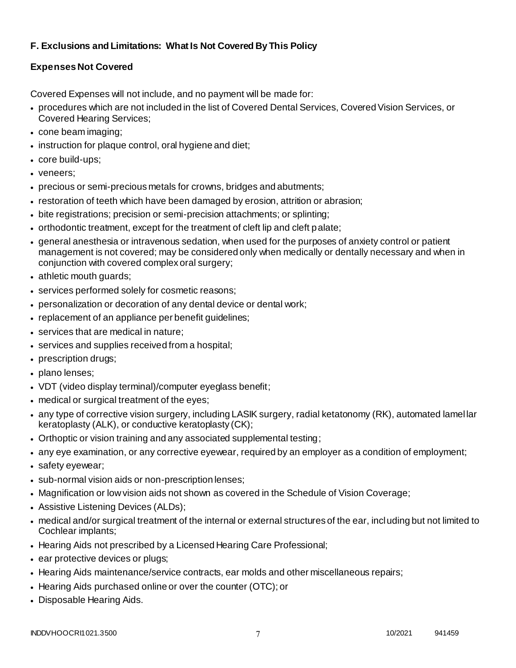# **F. Exclusions and Limitations: What Is Not Covered By This Policy**

# **Expenses Not Covered**

Covered Expenses will not include, and no payment will be made for:

- procedures which are not included in the list of Covered Dental Services, Covered Vision Services, or Covered Hearing Services;
- cone beam imaging;
- instruction for plaque control, oral hygiene and diet;
- core build-ups;
- veneers;
- precious or semi-precious metals for crowns, bridges and abutments;
- restoration of teeth which have been damaged by erosion, attrition or abrasion;
- bite registrations; precision or semi-precision attachments; or splinting;
- orthodontic treatment, except for the treatment of cleft lip and cleft palate;
- general anesthesia or intravenous sedation, when used for the purposes of anxiety control or patient management is not covered; may be considered only when medically or dentally necessary and when in conjunction with covered complex oral surgery;
- athletic mouth guards;
- services performed solely for cosmetic reasons;
- personalization or decoration of any dental device or dental work;
- replacement of an appliance per benefit guidelines;
- services that are medical in nature;
- services and supplies received from a hospital;
- prescription drugs;
- plano lenses;
- VDT (video display terminal)/computer eyeglass benefit;
- medical or surgical treatment of the eyes;
- any type of corrective vision surgery, including LASIK surgery, radial ketatonomy (RK), automated lamel lar keratoplasty (ALK), or conductive keratoplasty (CK);
- Orthoptic or vision training and any associated supplemental testing;
- any eye examination, or any corrective eyewear, required by an employer as a condition of employment;
- safety eyewear;
- sub-normal vision aids or non-prescription lenses;
- Magnification or low vision aids not shown as covered in the Schedule of Vision Coverage;
- Assistive Listening Devices (ALDs);
- medical and/or surgical treatment of the internal or external structures of the ear, including but not limited to Cochlear implants;
- Hearing Aids not prescribed by a Licensed Hearing Care Professional;
- ear protective devices or plugs;
- Hearing Aids maintenance/service contracts, ear molds and other miscellaneous repairs;
- Hearing Aids purchased online or over the counter (OTC); or
- Disposable Hearing Aids.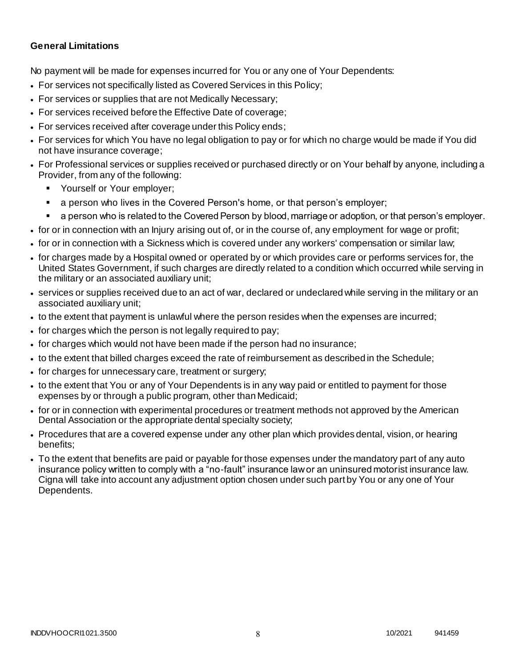### **General Limitations**

No payment will be made for expenses incurred for You or any one of Your Dependents:

- For services not specifically listed as Covered Services in this Policy;
- For services or supplies that are not Medically Necessary;
- For services received before the Effective Date of coverage;
- For services received after coverage under this Policy ends;
- For services for which You have no legal obligation to pay or for which no charge would be made if You did not have insurance coverage;
- For Professional services or supplies received or purchased directly or on Your behalf by anyone, including a Provider, from any of the following:
	- Yourself or Your employer;
	- a person who lives in the Covered Person's home, or that person's employer;
	- a person who is related to the Covered Person by blood, marriage or adoption, or that person's employer.
- for or in connection with an Injury arising out of, or in the course of, any employment for wage or profit;
- for or in connection with a Sickness which is covered under any workers' compensation or similar law;
- for charges made by a Hospital owned or operated by or which provides care or performs services for, the United States Government, if such charges are directly related to a condition which occurred while serving in the military or an associated auxiliary unit;
- services or supplies received due to an act of war, declared or undeclared while serving in the military or an associated auxiliary unit;
- to the extent that payment is unlawful where the person resides when the expenses are incurred;
- for charges which the person is not legally required to pay;
- for charges which would not have been made if the person had no insurance;
- to the extent that billed charges exceed the rate of reimbursement as described in the Schedule;
- for charges for unnecessary care, treatment or surgery;
- to the extent that You or any of Your Dependents is in any way paid or entitled to payment for those expenses by or through a public program, other than Medicaid;
- for or in connection with experimental procedures or treatment methods not approved by the American Dental Association or the appropriate dental specialty society;
- Procedures that are a covered expense under any other plan which provides dental, vision, or hearing benefits;
- To the extent that benefits are paid or payable for those expenses under the mandatory part of any auto insurance policy written to comply with a "no-fault" insurance law or an uninsured motorist insurance law. Cigna will take into account any adjustment option chosen under such part by You or any one of Your Dependents.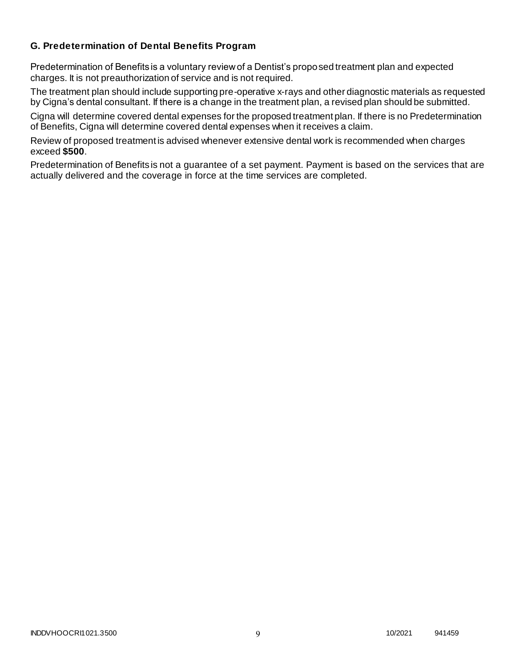### **G. Predetermination of Dental Benefits Program**

Predetermination of Benefits is a voluntary review of a Dentist's proposed treatment plan and expected charges. It is not preauthorization of service and is not required.

The treatment plan should include supporting pre-operative x-rays and other diagnostic materials as requested by Cigna's dental consultant. If there is a change in the treatment plan, a revised plan should be submitted.

Cigna will determine covered dental expenses for the proposed treatment plan. If there is no Predetermination of Benefits, Cigna will determine covered dental expenses when it receives a claim.

Review of proposed treatment is advised whenever extensive dental work is recommended when charges exceed **\$500**.

Predetermination of Benefits is not a guarantee of a set payment. Payment is based on the services that are actually delivered and the coverage in force at the time services are completed.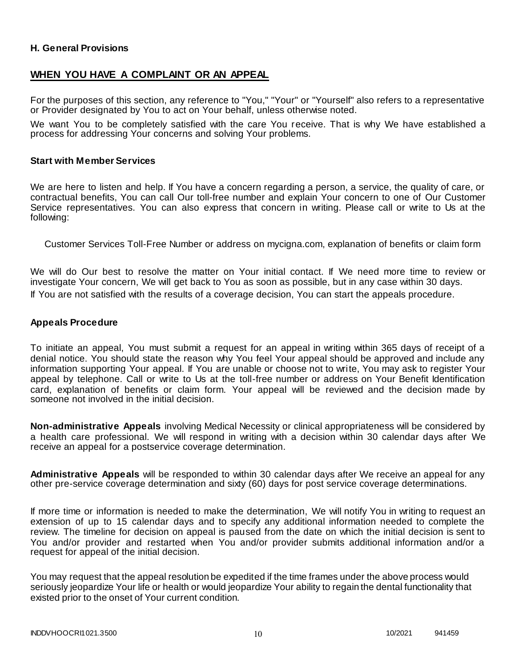### **H. General Provisions**

### **WHEN YOU HAVE A COMPLAINT OR AN APPEAL**

For the purposes of this section, any reference to "You," "Your" or "Yourself" also refers to a representative or Provider designated by You to act on Your behalf, unless otherwise noted.

We want You to be completely satisfied with the care You receive. That is why We have established a process for addressing Your concerns and solving Your problems.

#### **Start with Member Services**

We are here to listen and help. If You have a concern regarding a person, a service, the quality of care, or contractual benefits, You can call Our toll-free number and explain Your concern to one of Our Customer Service representatives. You can also express that concern in writing. Please call or write to Us at the following:

Customer Services Toll-Free Number or address on mycigna.com, explanation of benefits or claim form

We will do Our best to resolve the matter on Your initial contact. If We need more time to review or investigate Your concern, We will get back to You as soon as possible, but in any case within 30 days. If You are not satisfied with the results of a coverage decision, You can start the appeals procedure.

#### **Appeals Procedure**

To initiate an appeal, You must submit a request for an appeal in writing within 365 days of receipt of a denial notice. You should state the reason why You feel Your appeal should be approved and include any information supporting Your appeal. If You are unable or choose not to write, You may ask to register Your appeal by telephone. Call or write to Us at the toll-free number or address on Your Benefit Identification card, explanation of benefits or claim form. Your appeal will be reviewed and the decision made by someone not involved in the initial decision.

**Non-administrative Appeals** involving Medical Necessity or clinical appropriateness will be considered by a health care professional. We will respond in writing with a decision within 30 calendar days after We receive an appeal for a postservice coverage determination.

**Administrative Appeals** will be responded to within 30 calendar days after We receive an appeal for any other pre-service coverage determination and sixty (60) days for post service coverage determinations.

If more time or information is needed to make the determination, We will notify You in writing to request an extension of up to 15 calendar days and to specify any additional information needed to complete the review. The timeline for decision on appeal is paused from the date on which the initial decision is sent to You and/or provider and restarted when You and/or provider submits additional information and/or a request for appeal of the initial decision.

You may request that the appeal resolution be expedited if the time frames under the above process would seriously jeopardize Your life or health or would jeopardize Your ability to regain the dental functionality that existed prior to the onset of Your current condition.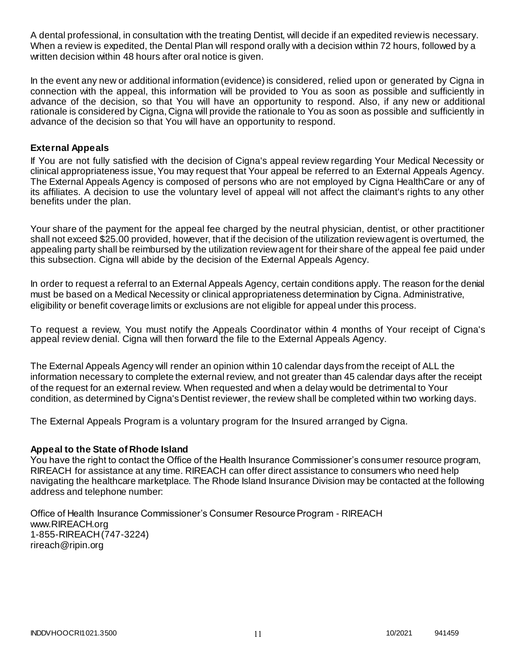A dental professional, in consultation with the treating Dentist, will decide if an expedited review is necessary. When a review is expedited, the Dental Plan will respond orally with a decision within 72 hours, followed by a written decision within 48 hours after oral notice is given.

In the event any new or additional information (evidence) is considered, relied upon or generated by Cigna in connection with the appeal, this information will be provided to You as soon as possible and sufficiently in advance of the decision, so that You will have an opportunity to respond. Also, if any new or additional rationale is considered by Cigna, Cigna will provide the rationale to You as soon as possible and sufficiently in advance of the decision so that You will have an opportunity to respond.

### **External Appeals**

If You are not fully satisfied with the decision of Cigna's appeal review regarding Your Medical Necessity or clinical appropriateness issue, You may request that Your appeal be referred to an External Appeals Agency. The External Appeals Agency is composed of persons who are not employed by Cigna HealthCare or any of its affiliates. A decision to use the voluntary level of appeal will not affect the claimant's rights to any other benefits under the plan.

Your share of the payment for the appeal fee charged by the neutral physician, dentist, or other practitioner shall not exceed \$25.00 provided, however, that if the decision of the utilization review agent is overturned, the appealing party shall be reimbursed by the utilization review agent for their share of the appeal fee paid under this subsection. Cigna will abide by the decision of the External Appeals Agency.

In order to request a referral to an External Appeals Agency, certain conditions apply. The reason for the denial must be based on a Medical Necessity or clinical appropriateness determination by Cigna. Administrative, eligibility or benefit coverage limits or exclusions are not eligible for appeal under this process.

To request a review, You must notify the Appeals Coordinator within 4 months of Your receipt of Cigna's appeal review denial. Cigna will then forward the file to the External Appeals Agency.

The External Appeals Agency will render an opinion within 10 calendar days from the receipt of ALL the information necessary to complete the external review, and not greater than 45 calendar days after the receipt of the request for an external review. When requested and when a delay would be detrimental to Your condition, as determined by Cigna's Dentist reviewer, the review shall be completed within two working days.

The External Appeals Program is a voluntary program for the Insured arranged by Cigna.

### **Appeal to the State of Rhode Island**

You have the right to contact the Office of the Health Insurance Commissioner's consumer resource program, RIREACH for assistance at any time. RIREACH can offer direct assistance to consumers who need help navigating the healthcare marketplace. The Rhode Island Insurance Division may be contacted at the following address and telephone number:

Office of Health Insurance Commissioner's Consumer Resource Program - RIREACH www.RIREACH.org 1-855-RIREACH (747-3224) [rireach@ripin.org](mailto:rireach@ripin.org)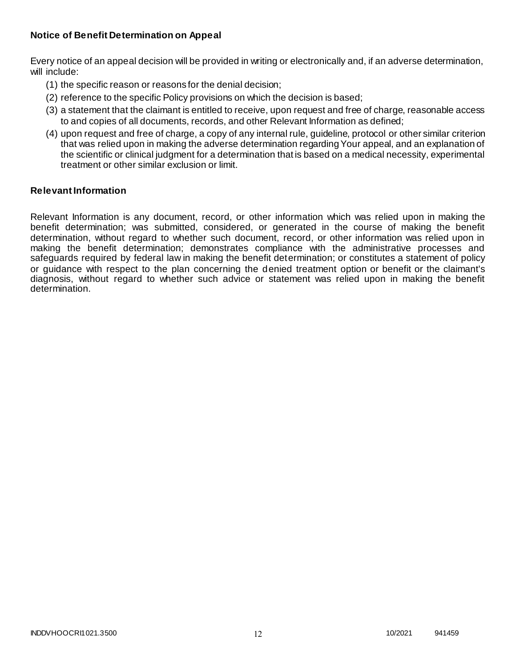### **Notice of Benefit Determination on Appeal**

Every notice of an appeal decision will be provided in writing or electronically and, if an adverse determination, will include:

- (1) the specific reason or reasons for the denial decision;
- (2) reference to the specific Policy provisions on which the decision is based;
- (3) a statement that the claimant is entitled to receive, upon request and free of charge, reasonable access to and copies of all documents, records, and other Relevant Information as defined;
- (4) upon request and free of charge, a copy of any internal rule, guideline, protocol or other similar criterion that was relied upon in making the adverse determination regarding Your appeal, and an explanation of the scientific or clinical judgment for a determination that is based on a medical necessity, experimental treatment or other similar exclusion or limit.

#### **Relevant Information**

Relevant Information is any document, record, or other information which was relied upon in making the benefit determination; was submitted, considered, or generated in the course of making the benefit determination, without regard to whether such document, record, or other information was relied upon in making the benefit determination; demonstrates compliance with the administrative processes and safeguards required by federal law in making the benefit determination; or constitutes a statement of policy or guidance with respect to the plan concerning the denied treatment option or benefit or the claimant's diagnosis, without regard to whether such advice or statement was relied upon in making the benefit determination.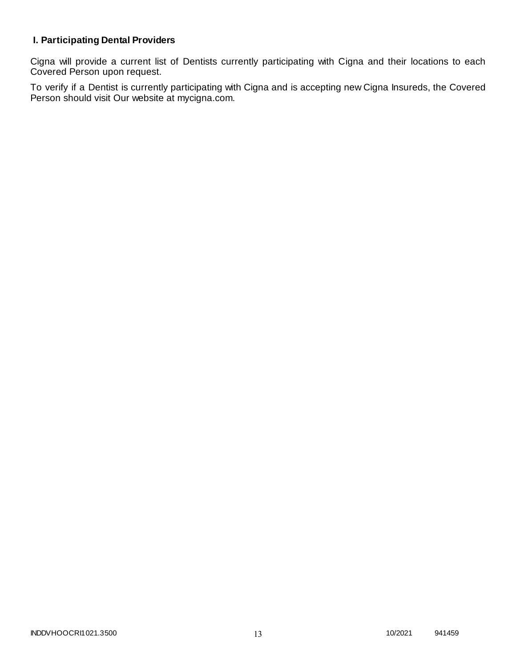# **I. Participating Dental Providers**

Cigna will provide a current list of Dentists currently participating with Cigna and their locations to each Covered Person upon request.

To verify if a Dentist is currently participating with Cigna and is accepting new Cigna Insureds, the Covered Person should visit Our website at mycigna.com.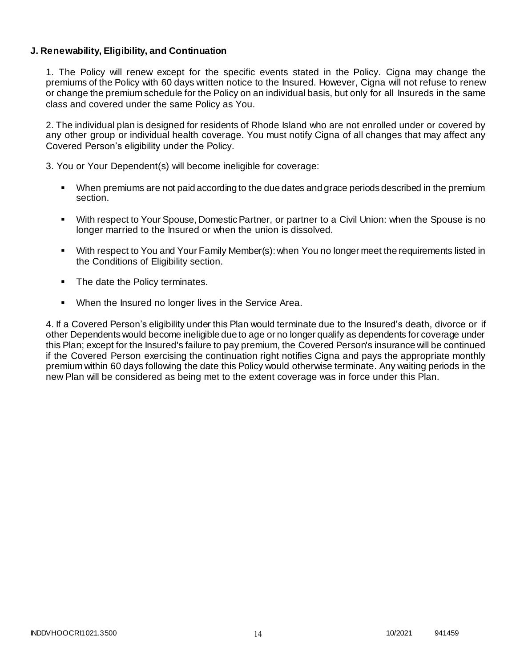### **J. Renewability, Eligibility, and Continuation**

1. The Policy will renew except for the specific events stated in the Policy. Cigna may change the premiums of the Policy with 60 days written notice to the Insured. However, Cigna will not refuse to renew or change the premium schedule for the Policy on an individual basis, but only for all Insureds in the same class and covered under the same Policy as You.

2. The individual plan is designed for residents of Rhode Island who are not enrolled under or covered by any other group or individual health coverage. You must notify Cigna of all changes that may affect any Covered Person's eligibility under the Policy.

3. You or Your Dependent(s) will become ineligible for coverage:

- When premiums are not paid according to the due dates and grace periods described in the premium section.
- With respect to Your Spouse, Domestic Partner, or partner to a Civil Union: when the Spouse is no longer married to the Insured or when the union is dissolved.
- With respect to You and Your Family Member(s): when You no longer meet the requirements listed in the Conditions of Eligibility section.
- The date the Policy terminates.
- When the Insured no longer lives in the Service Area.

4. If a Covered Person's eligibility under this Plan would terminate due to the Insured's death, divorce or if other Dependents would become ineligible due to age or no longer qualify as dependents for coverage under this Plan; except for the Insured's failure to pay premium, the Covered Person's insurance will be continued if the Covered Person exercising the continuation right notifies Cigna and pays the appropriate monthly premium within 60 days following the date this Policy would otherwise terminate. Any waiting periods in the new Plan will be considered as being met to the extent coverage was in force under this Plan.